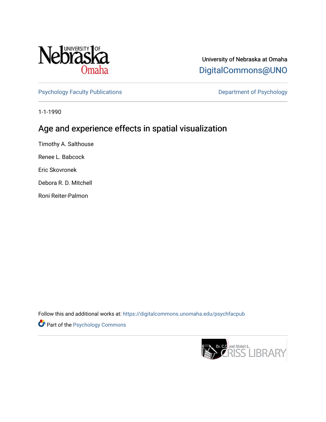

University of Nebraska at Omaha [DigitalCommons@UNO](https://digitalcommons.unomaha.edu/) 

[Psychology Faculty Publications](https://digitalcommons.unomaha.edu/psychfacpub) **Department of Psychology** 

1-1-1990

# Age and experience effects in spatial visualization

Timothy A. Salthouse

Renee L. Babcock

Eric Skovronek

Debora R. D. Mitchell

Roni Reiter-Palmon

Follow this and additional works at: [https://digitalcommons.unomaha.edu/psychfacpub](https://digitalcommons.unomaha.edu/psychfacpub?utm_source=digitalcommons.unomaha.edu%2Fpsychfacpub%2F246&utm_medium=PDF&utm_campaign=PDFCoverPages)

Part of the [Psychology Commons](https://network.bepress.com/hgg/discipline/404?utm_source=digitalcommons.unomaha.edu%2Fpsychfacpub%2F246&utm_medium=PDF&utm_campaign=PDFCoverPages) 

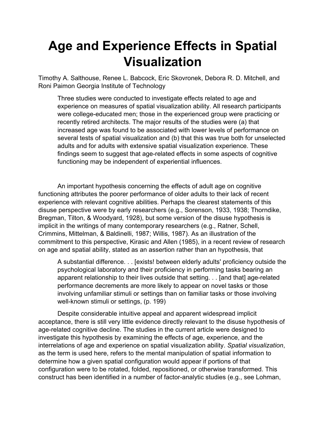# **Age and Experience Effects in Spatial Visualization**

Timothy A. Salthouse, Renee L. Babcock, Eric Skovronek, Debora R. D. Mitchell, and Roni Paimon Georgia Institute of Technology

Three studies were conducted to investigate effects related to age and experience on measures of spatial visualization ability. All research participants were college-educated men; those in the experienced group were practicing or recently retired architects. The major results of the studies were (a) that increased age was found to be associated with lower levels of performance on several tests of spatial visualization and (b) that this was true both for unselected adults and for adults with extensive spatial visualization experience. These findings seem to suggest that age-related effects in some aspects of cognitive functioning may be independent of experiential influences.

An important hypothesis concerning the effects of adult age on cognitive functioning attributes the poorer performance of older adults to their lack of recent experience with relevant cognitive abilities. Perhaps the clearest statements of this disuse perspective were by early researchers (e.g., Sorenson, 1933, 1938; Thorndike, Bregman, Tilton, & Woodyard, 1928), but some version of the disuse hypothesis is implicit in the writings of many contemporary researchers (e.g., Ratner, Schell, Crimmins, Mittelman, & Baldinelli, 1987; Willis, 1987). As an illustration of the commitment to this perspective, Kirasic and Allen (1985), in a recent review of research on age and spatial ability, stated as an assertion rather than an hypothesis, that

A substantial difference. . . [exists! between elderly adults' proficiency outside the psychological laboratory and their proficiency in performing tasks bearing an apparent relationship to their lives outside that setting. . . [and that] age-related performance decrements are more likely to appear on novel tasks or those involving unfamiliar stimuli or settings than on familiar tasks or those involving well-known stimuli or settings, (p. 199)

Despite considerable intuitive appeal and apparent widespread implicit acceptance, there is still very little evidence directly relevant to the disuse hypothesis of age-related cognitive decline. The studies in the current article were designed to investigate this hypothesis by examining the effects of age, experience, and the interrelations of age and experience on spatial visualization ability. *Spatial visualization*, as the term is used here, refers to the mental manipulation of spatial information to determine how a given spatial configuration would appear if portions of that configuration were to be rotated, folded, repositioned, or otherwise transformed. This construct has been identified in a number of factor-analytic studies (e.g., see Lohman,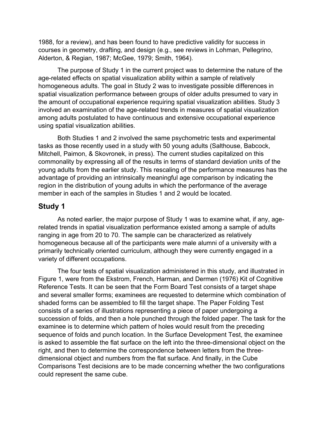1988, for a review), and has been found to have predictive validity for success in courses in geometry, drafting, and design (e.g., see reviews in Lohman, Pellegrino, Alderton, & Regian, 1987; McGee, 1979; Smith, 1964).

The purpose of Study 1 in the current project was to determine the nature of the age-related effects on spatial visualization ability within a sample of relatively homogeneous adults. The goal in Study 2 was to investigate possible differences in spatial visualization performance between groups of older adults presumed to vary in the amount of occupational experience requiring spatial visualization abilities. Study 3 involved an examination of the age-related trends in measures of spatial visualization among adults postulated to have continuous and extensive occupational experience using spatial visualization abilities.

Both Studies 1 and 2 involved the same psychometric tests and experimental tasks as those recently used in a study with 50 young adults (Salthouse, Babcock, Mitchell, Paimon, & Skovronek, in press). The current studies capitalized on this commonality by expressing all of the results in terms of standard deviation units of the young adults from the earlier study. This rescaling of the performance measures has the advantage of providing an intrinsically meaningful age comparison by indicating the region in the distribution of young adults in which the performance of the average member in each of the samples in Studies 1 and 2 would be located.

#### **Study 1**

As noted earlier, the major purpose of Study 1 was to examine what, if any, agerelated trends in spatial visualization performance existed among a sample of adults ranging in age from 20 to 70. The sample can be characterized as relatively homogeneous because all of the participants were male alumni of a university with a primarily technically oriented curriculum, although they were currently engaged in a variety of different occupations.

The four tests of spatial visualization administered in this study, and illustrated in Figure 1, were from the Ekstrom, French, Harman, and Dermen (1976) Kit of Cognitive Reference Tests. It can be seen that the Form Board Test consists of a target shape and several smaller forms; examinees are requested to determine which combination of shaded forms can be assembled to fill the target shape. The Paper Folding Test consists of a series of illustrations representing a piece of paper undergoing a succession of folds, and then a hole punched through the folded paper. The task for the examinee is to determine which pattern of holes would result from the preceding sequence of folds and punch location. In the Surface Development Test, the examinee is asked to assemble the flat surface on the left into the three-dimensional object on the right, and then to determine the correspondence between letters from the threedimensional object and numbers from the flat surface. And finally, in the Cube Comparisons Test decisions are to be made concerning whether the two configurations could represent the same cube.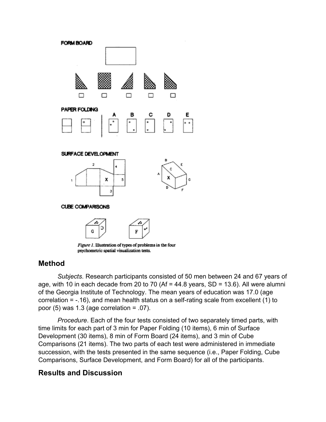

psychometric spatial visualization tests.

## **Method**

*Subjects*. Research participants consisted of 50 men between 24 and 67 years of age, with 10 in each decade from 20 to 70 (Af  $=$  44.8 years, SD = 13.6). All were alumni of the Georgia Institute of Technology. The mean years of education was 17.0 (age correlation = -.16), and mean health status on a self-rating scale from excellent (1) to poor  $(5)$  was 1.3 (age correlation = .07).

*Procedure*. Each of the four tests consisted of two separately timed parts, with time limits for each part of 3 min for Paper Folding (10 items), 6 min of Surface Development (30 items), 8 min of Form Board (24 items), and 3 min of Cube Comparisons (21 items). The two parts of each test were administered in immediate succession, with the tests presented in the same sequence (i.e., Paper Folding, Cube Comparisons, Surface Development, and Form Board) for all of the participants.

# **Results and Discussion**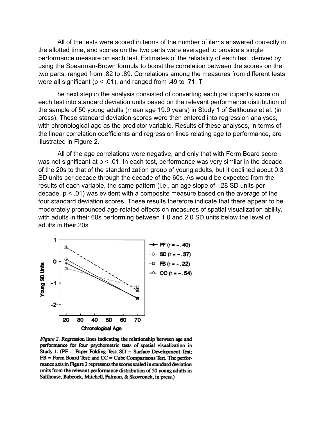All of the tests were scored in terms of the number of items answered correctly in the allotted time, and scores on the two parts were averaged to provide a single performance measure on each test. Estimates of the reliability of each test, derived by using the Spearman-Brown formula to boost the correlation between the scores on the two parts, ranged from .82 to .89. Correlations among the measures from different tests were all significant (p < .01), and ranged from .49 to .71. T

he next step in the analysis consisted of converting each participant's score on each test into standard deviation units based on the relevant performance distribution of the sample of 50 young adults (mean age 19.9 years) in Study 1 of Salthouse et al. (in press). These standard deviation scores were then entered into regression analyses, with chronological age as the predictor variable. Results of these analyses, in terms of the linear correlation coefficients and regression lines relating age to performance, are illustrated in Figure 2.

All of the age correlations were negative, and only that with Form Board score was not significant at  $p < 0.01$ . In each test, performance was very similar in the decade of the 20s to that of the standardization group of young adults, but it declined about 0.3 SD units per decade through the decade of the 60s. As would be expected from the results of each variable, the same pattern (i.e., an age slope of -.28 SD units per decade, p < .01) was evident with a composite measure based on the average of the four standard deviation scores. These results therefore indicate that there appear to be moderately pronounced age-related effects on measures of spatial visualization ability, with adults in their 60s performing between 1.0 and 2.0 SD units below the level of adults in their 20s.



*Figure 2.* Regression lines indicating the relationship between age and performance for four psychometric tests of spatial visualization in Study 1. (PF = Paper Folding Test;  $SD = Surface Development Test$ ;  $FB = Form$  Board Test; and  $CC = Cube$  Comparisons Test. The performance axis in Figure 2 represents the scores scaled in standard deviation units from the relevant performance distribution of 50 young adults in Salthouse, Babcock, Mitchell, Palmon, & Skovronek, in press.)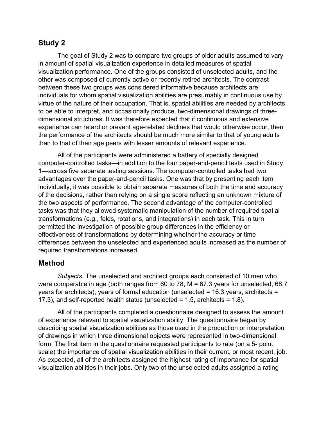## **Study 2**

The goal of Study 2 was to compare two groups of older adults assumed to vary in amount of spatial visualization experience in detailed measures of spatial visualization performance. One of the groups consisted of unselected adults, and the other was composed of currently active or recently retired architects. The contrast between these two groups was considered informative because architects are individuals for whom spatial visualization abilities are presumably in continuous use by virtue of the nature of their occupation. That is, spatial abilities are needed by architects to be able to interpret, and occasionally produce, two-dimensional drawings of threedimensional structures. It was therefore expected that if continuous and extensive experience can retard or prevent age-related declines that would otherwise occur, then the performance of the architects should be much more similar to that of young adults than to that of their age peers with lesser amounts of relevant experience.

All of the participants were administered a battery of specially designed computer-controlled tasks—in addition to the four paper-and-pencil tests used in Study 1—across five separate testing sessions. The computer-controlled tasks had two advantages over the paper-and-pencil tasks. One was that by presenting each item individually, it was possible to obtain separate measures of both the time and accuracy of the decisions, rather than relying on a single score reflecting an unknown mixture of the two aspects of performance. The second advantage of the computer-controlled tasks was that they allowed systematic manipulation of the number of required spatial transformations (e.g., folds, rotations, and integrations) in each task. This in turn permitted the investigation of possible group differences in the efficiency or effectiveness of transformations by determining whether the accuracy or time differences between the unselected and experienced adults increased as the number of required transformations increased.

## **Method**

*Subjects*. The unselected and architect groups each consisted of 10 men who were comparable in age (both ranges from 60 to 78, M = 67.3 years for unselected, 68.7 years for architects), years of formal education (unselected = 16.3 years, architects = 17.3), and self-reported health status (unselected = 1.5, architects = 1.8).

All of the participants completed a questionnaire designed to assess the amount of experience relevant to spatial visualization ability. The questionnaire began by describing spatial visualization abilities as those used in the production or interpretation of drawings in which three dimensional objects were represented in two-dimensional form. The first item in the questionnaire requested participants to rate (on a 5- point scale) the importance of spatial visualization abilities in their current, or most recent, job. As expected, all of the architects assigned the highest rating of importance for spatial visualization abilities in their jobs. Only two of the unselected adults assigned a rating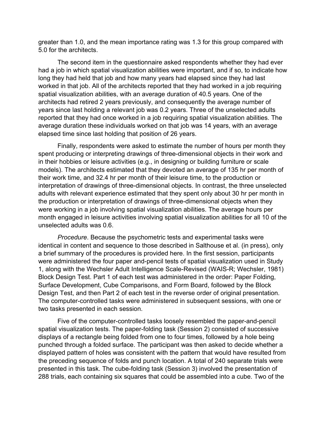greater than 1.0, and the mean importance rating was 1.3 for this group compared with 5.0 for the architects.

The second item in the questionnaire asked respondents whether they had ever had a job in which spatial visualization abilities were important, and if so, to indicate how long they had held that job and how many years had elapsed since they had last worked in that job. All of the architects reported that they had worked in a job requiring spatial visualization abilities, with an average duration of 40.5 years. One of the architects had retired 2 years previously, and consequently the average number of years since last holding a relevant job was 0.2 years. Three of the unselected adults reported that they had once worked in a job requiring spatial visualization abilities. The average duration these individuals worked on that job was 14 years, with an average elapsed time since last holding that position of 26 years.

Finally, respondents were asked to estimate the number of hours per month they spent producing or interpreting drawings of three-dimensional objects in their work and in their hobbies or leisure activities (e.g., in designing or building furniture or scale models). The architects estimated that they devoted an average of 135 hr per month of their work time, and 32.4 hr per month of their leisure time, to the production or interpretation of drawings of three-dimensional objects. In contrast, the three unselected adults with relevant experience estimated that they spent only about 30 hr per month in the production or interpretation of drawings of three-dimensional objects when they were working in a job involving spatial visualization abilities. The average hours per month engaged in leisure activities involving spatial visualization abilities for all 10 of the unselected adults was 0.6.

*Procedure*. Because the psychometric tests and experimental tasks were identical in content and sequence to those described in Salthouse et al. (in press), only a brief summary of the procedures is provided here. In the first session, participants were administered the four paper and-pencil tests of spatial visualization used in Study 1, along with the Wechsler Adult Intelligence Scale-Revised (WAIS-R; Wechsler, 1981) Block Design Test. Part 1 of each test was administered in the order: Paper Folding, Surface Development, Cube Comparisons, and Form Board, followed by the Block Design Test, and then Part 2 of each test in the reverse order of original presentation. The computer-controlled tasks were administered in subsequent sessions, with one or two tasks presented in each session.

Five of the computer-controlled tasks loosely resembled the paper-and-pencil spatial visualization tests. The paper-folding task (Session 2) consisted of successive displays of a rectangle being folded from one to four times, followed by a hole being punched through a folded surface. The participant was then asked to decide whether a displayed pattern of holes was consistent with the pattern that would have resulted from the preceding sequence of folds and punch location. A total of 240 separate trials were presented in this task. The cube-folding task (Session 3) involved the presentation of 288 trials, each containing six squares that could be assembled into a cube. Two of the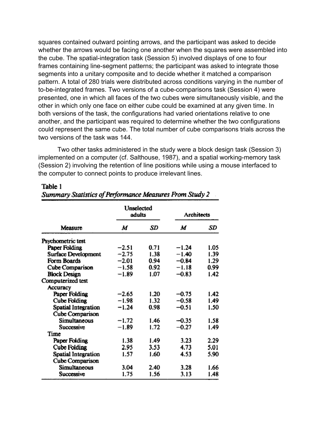squares contained outward pointing arrows, and the participant was asked to decide whether the arrows would be facing one another when the squares were assembled into the cube. The spatial-integration task (Session 5) involved displays of one to four frames containing line-segment patterns; the participant was asked to integrate those segments into a unitary composite and to decide whether it matched a comparison pattern. A total of 280 trials were distributed across conditions varying in the number of to-be-integrated frames. Two versions of a cube-comparisons task (Session 4) were presented, one in which all faces of the two cubes were simultaneously visible, and the other in which only one face on either cube could be examined at any given time. In both versions of the task, the configurations had varied orientations relative to one another, and the participant was required to determine whether the two configurations could represent the same cube. The total number of cube comparisons trials across the two versions of the task was 144.

Two other tasks administered in the study were a block design task (Session 3) implemented on a computer (cf. Salthouse, 1987), and a spatial working-memory task (Session 2) involving the retention of line positions while using a mouse interfaced to the computer to connect points to produce irrelevant lines.

| Measure             | Unselected<br>adults |      | Architects |      |
|---------------------|----------------------|------|------------|------|
|                     | M                    | SD   | M          | SD   |
| Psychometric test   |                      |      |            |      |
| Paper Folding       | $-2.51$              | 0.71 | $-1.24$    | 1.05 |
| Surface Development | $-2.75$              | 1.38 | $-1.40$    | 1.39 |
| Form Boards         | $-2.01$              | 0.94 | $-0.84$    | 1.29 |
| Cube Comparison     | $-1.58$              | 0.92 | $-1.18$    | 0.99 |
| <b>Block Design</b> | -1.89                | 1.07 | $-0.83$    | 1.42 |
| Computerized test   |                      |      |            |      |
| Accuracy            |                      |      |            |      |
| Paper Folding       | $-2.65$              | 1.20 | $-0.75$    | 1.42 |
| <b>Cube Folding</b> | $-1.98$              | 1.32 | $-0.58$    | 1.49 |
| Spatial Integration | $-1.24$              | 0.98 | $-0.51$    | 1.50 |
| Cube Comparison     |                      |      |            |      |
| Simultaneous        | $-1.72$              | 1.46 | $-0.35$    | 1.58 |
| Successive          | $-1.89$              | 1.72 | $-0.27$    | 1.49 |
| Time                |                      |      |            |      |
| Paper Folding       | 1.38                 | 1.49 | 3.23       | 2.29 |
| Cube Folding        | 2.95                 | 3.53 | 4.73       | 5.01 |
| Spatial Integration | 1.57                 | 1.60 | 4.53       | 5.90 |
| Cube Comparison     |                      |      |            |      |
| Simultaneous        | 3.04                 | 2.40 | 3.28       | 1.66 |
| Successive          | 1.75                 | 1.56 | 3.13       | 1.48 |

#### Table 1 Summary Statistics of Performance Measures From Study 2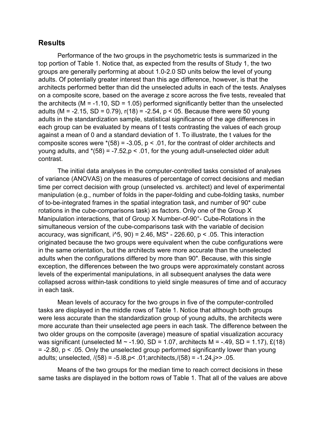#### **Results**

Performance of the two groups in the psychometric tests is summarized in the top portion of Table 1. Notice that, as expected from the results of Study 1, the two groups are generally performing at about 1.0-2.0 SD units below the level of young adults. Of potentially greater interest than this age difference, however, is that the architects performed better than did the unselected adults in each of the tests. Analyses on a composite score, based on the average z score across the five tests, revealed that the architects ( $M = -1.10$ ,  $SD = 1.05$ ) performed significantly better than the unselected adults (M = -2.15, SD = 0.79),  $r(18)$  = -2.54,  $p < 05$ . Because there were 50 young adults in the standardization sample, statistical significance of the age differences in each group can be evaluated by means of t tests contrasting the values of each group against a mean of 0 and a standard deviation of 1. To illustrate, the t values for the composite scores were  $*(58) = -3.05$ ,  $p < .01$ , for the contrast of older architects and young adults, and  $*(58) = -7.52$ ,  $p < .01$ , for the young adult-unselected older adult contrast.

The initial data analyses in the computer-controlled tasks consisted of analyses of variance (ANOVAS) on the measures of percentage of correct decisions and median time per correct decision with group (unselected vs. architect) and level of experimental manipulation (e.g., number of folds in the paper-folding and cube-folding tasks, number of to-be-integrated frames in the spatial integration task, and number of 90\* cube rotations in the cube-comparisons task) as factors. Only one of the Group X Manipulation interactions, that of Group X Number-of-90°- Cube-Rotations in the simultaneous version of the cube-comparisons task with the variable of decision accuracy, was significant,  $i^5$ , 90) = 2.46, MS<sup>\*</sup> - 226.60, p < .05. This interaction originated because the two groups were equivalent when the cube configurations were in the same orientation, but the architects were more accurate than the unselected adults when the configurations differed by more than 90". Because, with this single exception, the differences between the two groups were approximately constant across levels of the experimental manipulations, in all subsequent analyses the data were collapsed across within-task conditions to yield single measures of time and of accuracy in each task.

Mean levels of accuracy for the two groups in five of the computer-controlled tasks are displayed in the middle rows of Table 1. Notice that although both groups were less accurate than the standardization group of young adults, the architects were more accurate than their unselected age peers in each task. The difference between the two older groups on the composite (average) measure of spatial visualization accuracy was significant (unselected M  $\sim$  -1.90, SD = 1.07, architects M = -.49, SD = 1.17), £(18) = -2.80, p < .05. Only the unselected group performed significantly lower than young adults; unselected, /(58) = -5.l8,p< .01;architects,/(58) = -1.24,j>> .05.

Means of the two groups for the median time to reach correct decisions in these same tasks are displayed in the bottom rows of Table 1. That all of the values are above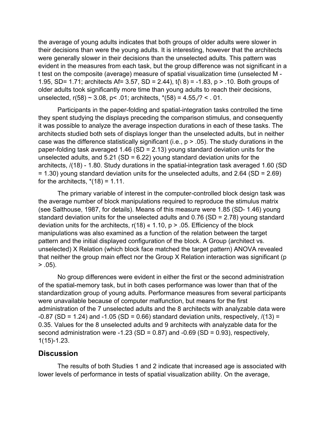the average of young adults indicates that both groups of older adults were slower in their decisions than were the young adults. It is interesting, however that the architects were generally slower in their decisions than the unselected adults. This pattern was evident in the measures from each task, but the group difference was not significant in a t test on the composite (average) measure of spatial visualization time (unselected M - 1.95, SD= 1.71; architects Af= 3.57, SD = 2.44), t{\ 8) = -1.83, p > .10. Both groups of older adults took significantly more time than young adults to reach their decisions, unselected,  $r(58) \sim 3.08$ ,  $p < .01$ ; architects,  $*(58) = 4.55$ ,  $/? < .01$ .

Participants in the paper-folding and spatial-integration tasks controlled the time they spent studying the displays preceding the comparison stimulus, and consequently it was possible to analyze the average inspection durations in each of these tasks. The architects studied both sets of displays longer than the unselected adults, but in neither case was the difference statistically significant (i.e.,  $p > .05$ ). The study durations in the paper-folding task averaged 1.46 (SD = 2.13) young standard deviation units for the unselected adults, and  $5.21$  (SD = 6.22) young standard deviation units for the architects, /(18) - 1.80. Study durations in the spatial-integration task averaged 1.60 (SD = 1.30) young standard deviation units for the unselected adults, and 2.64 (SD = 2.69) for the architects,  $*(18) = 1.11$ .

The primary variable of interest in the computer-controlled block design task was the average number of block manipulations required to reproduce the stimulus matrix (see Salthouse, 1987, for details). Means of this measure were 1.85 (SD- 1.46) young standard deviation units for the unselected adults and 0.76 (SD = 2.78) young standard deviation units for the architects,  $r(18) \times 1.10$ ,  $p > 0.05$ . Efficiency of the block manipulations was also examined as a function of the relation between the target pattern and the initial displayed configuration of the block. A Group (architect vs. unselected) X Relation (which block face matched the target pattern) ANOVA revealed that neither the group main effect nor the Group X Relation interaction was significant (p  $> 0.05$ ).

No group differences were evident in either the first or the second administration of the spatial-memory task, but in both cases performance was lower than that of the standardization group of young adults. Performance measures from several participants were unavailable because of computer malfunction, but means for the first administration of the 7 unselected adults and the 8 architects with analyzable data were  $-0.87$  (SD = 1.24) and  $-1.05$  (SD = 0.66) standard deviation units, respectively,  $/(13)$  = 0.35. Values for the 8 unselected adults and 9 architects with analyzable data for the second administration were  $-1.23$  (SD = 0.87) and  $-0.69$  (SD = 0.93), respectively, 1(15)-1.23.

#### **Discussion**

The results of both Studies 1 and 2 indicate that increased age is associated with lower levels of performance in tests of spatial visualization ability. On the average,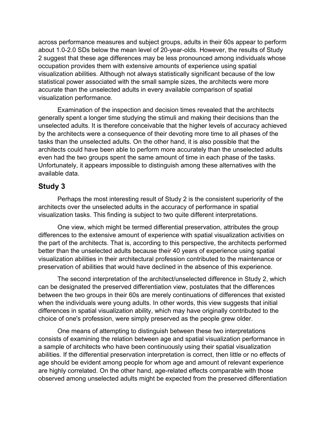across performance measures and subject groups, adults in their 60s appear to perform about 1.0-2.0 SDs below the mean level of 20-year-olds. However, the results of Study 2 suggest that these age differences may be less pronounced among individuals whose occupation provides them with extensive amounts of experience using spatial visualization abilities. Although not always statistically significant because of the low statistical power associated with the small sample sizes, the architects were more accurate than the unselected adults in every available comparison of spatial visualization performance.

Examination of the inspection and decision times revealed that the architects generally spent a longer time studying the stimuli and making their decisions than the unselected adults. It is therefore conceivable that the higher levels of accuracy achieved by the architects were a consequence of their devoting more time to all phases of the tasks than the unselected adults. On the other hand, it is also possible that the architects could have been able to perform more accurately than the unselected adults even had the two groups spent the same amount of time in each phase of the tasks. Unfortunately, it appears impossible to distinguish among these alternatives with the available data.

#### **Study 3**

Perhaps the most interesting result of Study 2 is the consistent superiority of the architects over the unselected adults in the accuracy of performance in spatial visualization tasks. This finding is subject to two quite different interpretations.

One view, which might be termed differential preservation, attributes the group differences to the extensive amount of experience with spatial visualization activities on the part of the architects. That is, according to this perspective, the architects performed better than the unselected adults because their 40 years of experience using spatial visualization abilities in their architectural profession contributed to the maintenance or preservation of abilities that would have declined in the absence of this experience.

The second interpretation of the architect/unselected difference in Study 2, which can be designated the preserved differentiation view, postulates that the differences between the two groups in their 60s are merely continuations of differences that existed when the individuals were young adults. In other words, this view suggests that initial differences in spatial visualization ability, which may have originally contributed to the choice of one's profession, were simply preserved as the people grew older.

One means of attempting to distinguish between these two interpretations consists of examining the relation between age and spatial visualization performance in a sample of architects who have been continuously using their spatial visualization abilities. If the differential preservation interpretation is correct, then little or no effects of age should be evident among people for whom age and amount of relevant experience are highly correlated. On the other hand, age-related effects comparable with those observed among unselected adults might be expected from the preserved differentiation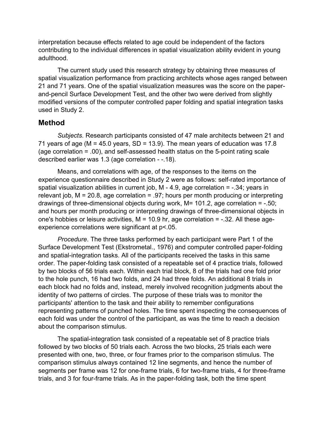interpretation because effects related to age could be independent of the factors contributing to the individual differences in spatial visualization ability evident in young adulthood.

The current study used this research strategy by obtaining three measures of spatial visualization performance from practicing architects whose ages ranged between 21 and 71 years. One of the spatial visualization measures was the score on the paperand-pencil Surface Development Test, and the other two were derived from slightly modified versions of the computer controlled paper folding and spatial integration tasks used in Study 2.

# **Method**

*Subjects*. Research participants consisted of 47 male architects between 21 and 71 years of age (M = 45.0 years,  $SD = 13.9$ ). The mean years of education was 17.8 (age correlation = .00), and self-assessed health status on the 5-point rating scale described earlier was 1.3 (age correlation - -.18).

Means, and correlations with age, of the responses to the items on the experience questionnaire described in Study 2 were as follows: self-rated importance of spatial visualization abilities in current job, M - 4.9, age correlation = -.34; years in relevant job,  $M = 20.8$ , age correlation = .97; hours per month producing or interpreting drawings of three-dimensional objects during work,  $M = 101.2$ , age correlation =  $-0.50$ ; and hours per month producing or interpreting drawings of three-dimensional objects in one's hobbies or leisure activities, M = 10.9 hr, age correlation = -.32. All these ageexperience correlations were significant at p<.05.

*Procedure*. The three tasks performed by each participant were Part 1 of the Surface Development Test (Ekstrometal., 1976) and computer controlled paper-folding and spatial-integration tasks. All of the participants received the tasks in this same order. The paper-folding task consisted of a repeatable set of 4 practice trials, followed by two blocks of 56 trials each. Within each trial block, 8 of the trials had one fold prior to the hole punch, 16 had two folds, and 24 had three folds. An additional 8 trials in each block had no folds and, instead, merely involved recognition judgments about the identity of two patterns of circles. The purpose of these trials was to monitor the participants' attention to the task and their ability to remember configurations representing patterns of punched holes. The time spent inspecting the consequences of each fold was under the control of the participant, as was the time to reach a decision about the comparison stimulus.

The spatial-integration task consisted of a repeatable set of 8 practice trials followed by two blocks of 50 trials each. Across the two blocks, 25 trials each were presented with one, two, three, or four frames prior to the comparison stimulus. The comparison stimulus always contained 12 line segments, and hence the number of segments per frame was 12 for one-frame trials, 6 for two-frame trials, 4 for three-frame trials, and 3 for four-frame trials. As in the paper-folding task, both the time spent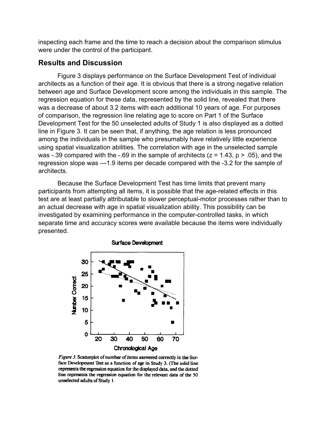inspecting each frame and the time to reach a decision about the comparison stimulus were under the control of the participant.

# **Results and Discussion**

Figure 3 displays performance on the Surface Development Test of individual architects as a function of their age. It is obvious that there is a strong negative relation between age and Surface Development score among the individuals in this sample. The regression equation for these data, represented by the solid line, revealed that there was a decrease of about 3.2 items with each additional 10 years of age. For purposes of comparison, the regression line relating age to score on Part 1 of the Surface Development Test for the 50 unselected adults of Study 1 is also displayed as a dotted line in Figure 3. It can be seen that, if anything, the age relation is less pronounced among the individuals in the sample who presumably have relatively little experience using spatial visualization abilities. The correlation with age in the unselected sample was -.39 compared with the -.69 in the sample of architects ( $z = 1.43$ ,  $p > .05$ ), and the regression slope was —1.9 items per decade compared with the -3.2 for the sample of architects.

Because the Surface Development Test has time limits that prevent many participants from attempting all items, it is possible that the age-related effects in this test are at least partially attributable to slower perceptual-motor processes rather than to an actual decrease with age in spatial visualization ability. This possibility can be investigated by examining performance in the computer-controlled tasks, in which separate time and accuracy scores were available because the items were individually presented.



Figure 3. Scatterplot of number of items answered correctly in the Surface Development Test as a function of age in Study 3. (The solid line represents the regression equation for the displayed data, and the dotted line represents the regression equation for the relevant data of the 50 unselected adults of Study 1.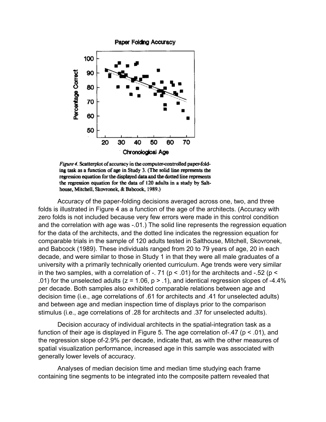

Figure 4. Scatterplot of accuracy in the computer-controlled paper-folding task as a function of age in Study 3. (The solid line represents the regression equation for the displayed data and the dotted line represents the regression equation for the data of 120 adults in a study by Salthouse, Mitchell, Skovronek, & Babcock, 1989.)

Accuracy of the paper-folding decisions averaged across one, two, and three folds is illustrated in Figure 4 as a function of the age of the architects. (Accuracy with zero folds is not included because very few errors were made in this control condition and the correlation with age was -.01.) The solid line represents the regression equation for the data of the architects, and the dotted line indicates the regression equation for comparable trials in the sample of 120 adults tested in Salthouse, Mitchell, Skovronek, and Babcock (1989). These individuals ranged from 20 to 79 years of age, 20 in each decade, and were similar to those in Study 1 in that they were all male graduates of a university with a primarily technically oriented curriculum. Age trends were very similar in the two samples, with a correlation of -. 71 ( $p < .01$ ) for the architects and -.52 ( $p <$ .01) for the unselected adults ( $z = 1.06$ ,  $p > 0.1$ ), and identical regression slopes of -4.4% per decade. Both samples also exhibited comparable relations between age and decision time (i.e., age correlations of .61 for architects and .41 for unselected adults) and between age and median inspection time of displays prior to the comparison stimulus (i.e., age correlations of .28 for architects and .37 for unselected adults).

Decision accuracy of individual architects in the spatial-integration task as a function of their age is displayed in Figure 5. The age correlation of-.47 ( $p < .01$ ), and the regression slope of-2.9% per decade, indicate that, as with the other measures of spatial visualization performance, increased age in this sample was associated with generally lower levels of accuracy.

Analyses of median decision time and median time studying each frame containing tine segments to be integrated into the composite pattern revealed that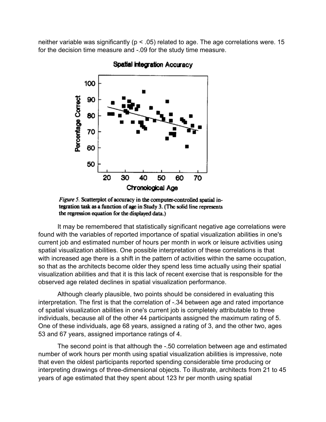neither variable was significantly ( $p < .05$ ) related to age. The age correlations were. 15 for the decision time measure and -.09 for the study time measure.



#### Spatial Integration Accuracy

Figure 5. Scatterplot of accuracy in the computer-controlled spatial integration task as a function of age in Study 3. (The solid line represents the regression equation for the displayed data.)

It may be remembered that statistically significant negative age correlations were found with the variables of reported importance of spatial visualization abilities in one's current job and estimated number of hours per month in work or leisure activities using spatial visualization abilities. One possible interpretation of these correlations is that with increased age there is a shift in the pattern of activities within the same occupation, so that as the architects become older they spend less time actually using their spatial visualization abilities and that it is this lack of recent exercise that is responsible for the observed age related declines in spatial visualization performance.

Although clearly plausible, two points should be considered in evaluating this interpretation. The first is that the correlation of -.34 between age and rated importance of spatial visualization abilities in one's current job is completely attributable to three individuals, because all of the other 44 participants assigned the maximum rating of 5. One of these individuals, age 68 years, assigned a rating of 3, and the other two, ages 53 and 67 years, assigned importance ratings of 4.

The second point is that although the -.50 correlation between age and estimated number of work hours per month using spatial visualization abilities is impressive, note that even the oldest participants reported spending considerable time producing or interpreting drawings of three-dimensional objects. To illustrate, architects from 21 to 45 years of age estimated that they spent about 123 hr per month using spatial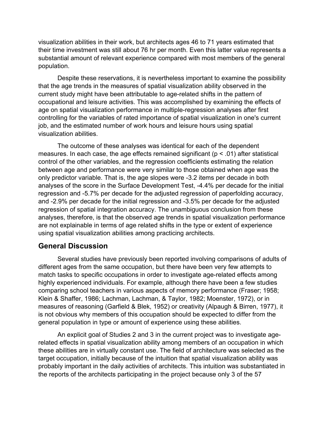visualization abilities in their work, but architects ages 46 to 71 years estimated that their time investment was still about 76 hr per month. Even this latter value represents a substantial amount of relevant experience compared with most members of the general population.

Despite these reservations, it is nevertheless important to examine the possibility that the age trends in the measures of spatial visualization ability observed in the current study might have been attributable to age-related shifts in the pattern of occupational and leisure activities. This was accomplished by examining the effects of age on spatial visualization performance in multiple-regression analyses after first controlling for the variables of rated importance of spatial visualization in one's current job, and the estimated number of work hours and leisure hours using spatial visualization abilities.

The outcome of these analyses was identical for each of the dependent measures. In each case, the age effects remained significant ( $p < .01$ ) after statistical control of the other variables, and the regression coefficients estimating the relation between age and performance were very similar to those obtained when age was the only predictor variable. That is, the age slopes were -3.2 items per decade in both analyses of the score in the Surface Development Test, -4.4% per decade for the initial regression and -5.7% per decade for the adjusted regression of paperfolding accuracy, and -2.9% per decade for the initial regression and -3.5% per decade for the adjusted regression of spatial integration accuracy. The unambiguous conclusion from these analyses, therefore, is that the observed age trends in spatial visualization performance are not explainable in terms of age related shifts in the type or extent of experience using spatial visualization abilities among practicing architects.

#### **General Discussion**

Several studies have previously been reported involving comparisons of adults of different ages from the same occupation, but there have been very few attempts to match tasks to specific occupations in order to investigate age-related effects among highly experienced individuals. For example, although there have been a few studies comparing school teachers in various aspects of memory performance (Fraser; 1958; Klein & Shaffer, 1986; Lachman, Lachman, & Taylor, 1982; Moenster, 1972), or in measures of reasoning (Garfield & Blek, 1952) or creativity (Alpaugh & Birren, 1977), it is not obvious why members of this occupation should be expected to differ from the general population in type or amount of experience using these abilities.

An explicit goal of Studies 2 and 3 in the current project was to investigate agerelated effects in spatial visualization ability among members of an occupation in which these abilities are in virtually constant use. The field of architecture was selected as the target occupation, initially because of the intuition that spatial visualization ability was probably important in the daily activities of architects. This intuition was substantiated in the reports of the architects participating in the project because only 3 of the 57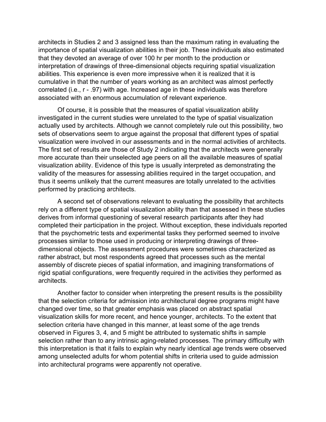architects in Studies 2 and 3 assigned less than the maximum rating in evaluating the importance of spatial visualization abilities in their job. These individuals also estimated that they devoted an average of over 100 hr per month to the production or interpretation of drawings of three-dimensional objects requiring spatial visualization abilities. This experience is even more impressive when it is realized that it is cumulative in that the number of years working as an architect was almost perfectly correlated (i.e., r - .97) with age. Increased age in these individuals was therefore associated with an enormous accumulation of relevant experience.

Of course, it is possible that the measures of spatial visualization ability investigated in the current studies were unrelated to the type of spatial visualization actually used by architects. Although we cannot completely rule out this possibility, two sets of observations seem to argue against the proposal that different types of spatial visualization were involved in our assessments and in the normal activities of architects. The first set of results are those of Study 2 indicating that the architects were generally more accurate than their unselected age peers on all the available measures of spatial visualization ability. Evidence of this type is usually interpreted as demonstrating the validity of the measures for assessing abilities required in the target occupation, and thus it seems unlikely that the current measures are totally unrelated to the activities performed by practicing architects.

A second set of observations relevant to evaluating the possibility that architects rely on a different type of spatial visualization ability than that assessed in these studies derives from informal questioning of several research participants after they had completed their participation in the project. Without exception, these individuals reported that the psychometric tests and experimental tasks they performed seemed to involve processes similar to those used in producing or interpreting drawings of threedimensional objects. The assessment procedures were sometimes characterized as rather abstract, but most respondents agreed that processes such as the mental assembly of discrete pieces of spatial information, and imagining transformations of rigid spatial configurations, were frequently required in the activities they performed as architects.

Another factor to consider when interpreting the present results is the possibility that the selection criteria for admission into architectural degree programs might have changed over time, so that greater emphasis was placed on abstract spatial visualization skills for more recent, and hence younger, architects. To the extent that selection criteria have changed in this manner, at least some of the age trends observed in Figures 3, 4, and 5 might be attributed to systematic shifts in sample selection rather than to any intrinsic aging-related processes. The primary difficulty with this interpretation is that it fails to explain why nearly identical age trends were observed among unselected adults for whom potential shifts in criteria used to guide admission into architectural programs were apparently not operative.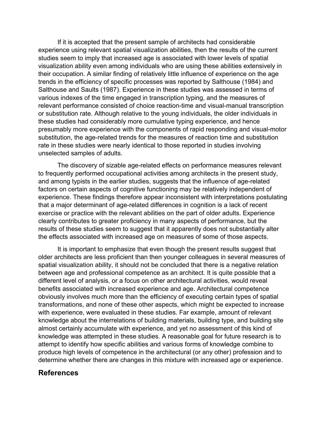If it is accepted that the present sample of architects had considerable experience using relevant spatial visualization abilities, then the results of the current studies seem to imply that increased age is associated with lower levels of spatial visualization ability even among individuals who are using these abilities extensively in their occupation. A similar finding of relatively little influence of experience on the age trends in the efficiency of specific processes was reported by Salthouse (1984) and Salthouse and Saults (1987). Experience in these studies was assessed in terms of various indexes of the time engaged in transcription typing, and the measures of relevant performance consisted of choice reaction-time and visual-manual transcription or substitution rate. Although relative to the young individuals, the older individuals in these studies had considerably more cumulative typing experience, and hence presumably more experience with the components of rapid responding and visual-motor substitution, the age-related trends for the measures of reaction time and substitution rate in these studies were nearly identical to those reported in studies involving unselected samples of adults.

The discovery of sizable age-related effects on performance measures relevant to frequently performed occupational activities among architects in the present study, and among typists in the earlier studies, suggests that the influence of age-related factors on certain aspects of cognitive functioning may be relatively independent of experience. These findings therefore appear inconsistent with interpretations postulating that a major determinant of age-related differences in cognition is a lack of recent exercise or practice with the relevant abilities on the part of older adults. Experience clearly contributes to greater proficiency in many aspects of performance, but the results of these studies seem to suggest that it apparently does not substantially alter the effects associated with increased age on measures of some of those aspects.

It is important to emphasize that even though the present results suggest that older architects are less proficient than then younger colleagues in several measures of spatial visualization ability, it should not be concluded that there is a negative relation between age and professional competence as an architect. It is quite possible that a different level of analysis, or a focus on other architectural activities, would reveal benefits associated with increased experience and age. Architectural competence obviously involves much more than the efficiency of executing certain types of spatial transformations, and none of these other aspects, which might be expected to increase with experience, were evaluated in these studies. Far example, amount of relevant knowledge about the interrelations of building materials, building type, and building site almost certainly accumulate with experience, and yet no assessment of this kind of knowledge was attempted in these studies. A reasonable goal for future research is to attempt to identify how specific abilities and various forms of knowledge combine to produce high levels of competence in the architectural (or any other) profession and to determine whether there are changes in this mixture with increased age or experience.

#### **References**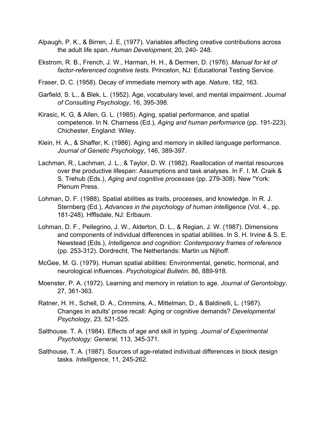- Alpaugh, P. K., & Birren, J. E, (1977). Variables affecting creative contributions across the adult life span. *Human Development*, 20, 240- 248.
- Ekstrom, R. B., French, J. W., Harman, H. H., & Dermen, D. (1976). *Manual for kit of factor-referenced cognitive tests.* Princeton, NJ: Educational Testing Service.
- Fraser, D. C. (1958). Decay of immediate memory with age. *Nature*, 182, 163.
- Garfield, S. L., & Blek, L. (1952). Age, vocabulary level, and mental impairment. *Journal of Consulting Psychology*, 16, 395-398.
- Kirasic, K. G, & Allen, G. L. (1985). Aging, spatial performance, and spatial competence. In N. Charness (Ed.), *Aging and human performance* (pp. 191-223). Chichester, England: Wiley.
- Klein, H. A., & Shaffer, K. (1986). Aging and memory in skilled language performance. *Journal of Genetic Psychology*, 146, 389-397.
- Lachman, R., Lachman, J. L., & Taylor, D. W. (1982). Reallocation of mental resources over the productive lifespan: Assumptions and task analyses. In F. I. M. Craik & S. Trehub (Eds.), *Aging and cognitive processes* (pp. 279-308). New "York: Plenum Press.
- Lohman, D. F. (1988). Spatial abilities as traits, processes, and knowledge. In R. J. Sternberg (Ed.), *Advances in the psychology of human intelligence* (Vol. 4., pp. 181-248). Hfflsdale, NJ: Erlbaum.
- Lohman, D. F., Pellegrino, J. W., Alderton, D. L., & Regian, J. W. (1987). Dimensions and components of individual differences in spatial abilities. In S. H. Irvine & S. E. Newstead (Eds.), *Intelligence and cognition: Contemporary frames of reference* (pp. 253-312). Dordrecht, The Netherlands: Martin us Nijhoff.
- McGee, M. G. (1979). Human spatial abilities: Environmental, genetic, hormonal, and neurological influences. *Psychological Bulletin*, 86, 889-918.
- Moenster, P. A. (1972). Learning and memory in relation to age. *Journal of Gerontology*, 27, 361-363.
- Ratner, H. H., Schell, D. A., Crimmins, A., Mittelman, D., & Baldinelli, L. (1987). Changes in adults' prose recall: Aging or cognitive demands? *Developmental Psychology*, 23, 521-525.
- Salthouse. T. A. (1984). Effects of age and skill in typing. *Journal of Experimental Psychology: General,* 113, 345-371.
- Salthouse, T. A. (1987). Sources of age-related individual differences in block design tasks. *Intelligence*, 11, 245-262.